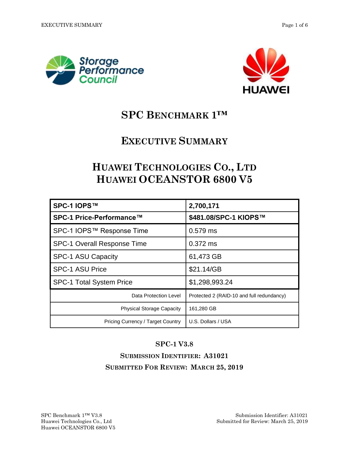



# **SPC BENCHMARK 1™**

## **EXECUTIVE SUMMARY**

## **HUAWEI TECHNOLOGIES CO., LTD HUAWEI OCEANSTOR 6800 V5**

| SPC-1 IOPS™                        | 2,700,171                                 |  |  |
|------------------------------------|-------------------------------------------|--|--|
| SPC-1 Price-Performance™           | \$481.08/SPC-1 KIOPS™                     |  |  |
| SPC-1 IOPS™ Response Time          | $0.579$ ms                                |  |  |
| <b>SPC-1 Overall Response Time</b> | $0.372$ ms                                |  |  |
| <b>SPC-1 ASU Capacity</b>          | 61,473 GB                                 |  |  |
| <b>SPC-1 ASU Price</b>             | \$21.14/GB                                |  |  |
| <b>SPC-1 Total System Price</b>    | \$1,298,993.24                            |  |  |
| Data Protection Level              | Protected 2 (RAID-10 and full redundancy) |  |  |
| <b>Physical Storage Capacity</b>   | 161,280 GB                                |  |  |
| Pricing Currency / Target Country  | U.S. Dollars / USA                        |  |  |

#### **SPC-1 V3.8**

**SUBMISSION IDENTIFIER: A31021 SUBMITTED FOR REVIEW: MARCH 25, 2019**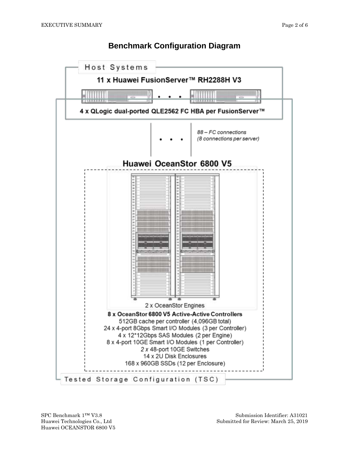#### **Benchmark Configuration Diagram**

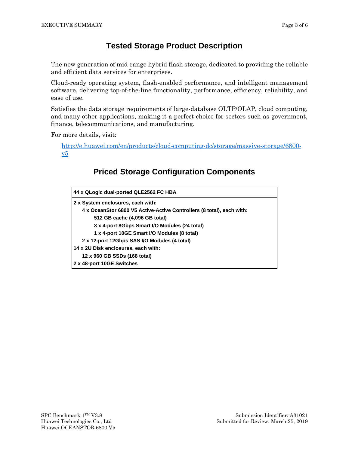#### **Tested Storage Product Description**

The new generation of mid-range hybrid flash storage, dedicated to providing the reliable and efficient data services for enterprises.

Cloud-ready operating system, flash-enabled performance, and intelligent management software, delivering top-of-the-line functionality, performance, efficiency, reliability, and ease of use.

Satisfies the data storage requirements of large-database OLTP/OLAP, cloud computing, and many other applications, making it a perfect choice for sectors such as government, finance, telecommunications, and manufacturing.

For more details, visit:

[http://e.huawei.com/en/products/cloud-computing-dc/storage/massive-storage/6800](http://e.huawei.com/en/products/cloud-computing-dc/storage/massive-storage/6800-v5)  $v5$ 

## **Priced Storage Configuration Components**

| 44 x QLogic dual-ported QLE2562 FC HBA                                |  |  |  |
|-----------------------------------------------------------------------|--|--|--|
| 2 x System enclosures, each with:                                     |  |  |  |
| 4 x OceanStor 6800 V5 Active-Active Controllers (8 total), each with: |  |  |  |
| 512 GB cache (4,096 GB total)                                         |  |  |  |
| 3 x 4-port 8Gbps Smart I/O Modules (24 total)                         |  |  |  |
| 1 x 4-port 10GE Smart I/O Modules (8 total)                           |  |  |  |
| 2 x 12-port 12Gbps SAS I/O Modules (4 total)                          |  |  |  |
| 14 x 2U Disk enclosures, each with:                                   |  |  |  |
| 12 x 960 GB SSDs (168 total)                                          |  |  |  |
| 2 x 48-port 10GE Switches                                             |  |  |  |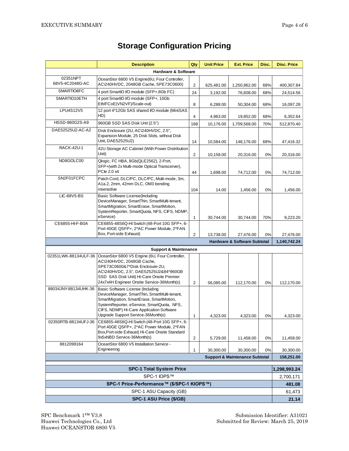$\mathbf{r}$ 

|                                                                                                                                                                                                                                                                                       | <b>Description</b>                                                                                                                                                                                                                                 | Qty | <b>Unit Price</b>    | <b>Ext. Price</b>                       | Disc.                     | <b>Disc. Price</b>    |
|---------------------------------------------------------------------------------------------------------------------------------------------------------------------------------------------------------------------------------------------------------------------------------------|----------------------------------------------------------------------------------------------------------------------------------------------------------------------------------------------------------------------------------------------------|-----|----------------------|-----------------------------------------|---------------------------|-----------------------|
| <b>Hardware &amp; Software</b>                                                                                                                                                                                                                                                        |                                                                                                                                                                                                                                                    |     |                      |                                         |                           |                       |
| 02351NPT<br>68V5-4C2048G-AC                                                                                                                                                                                                                                                           | OceanStor 6800 V5 Engine(6U, Four Controller,<br>AC\240HVDC, 2048GB Cache, SPE73C0600)                                                                                                                                                             | 2   | 625,481.00           | 1,250,962.00                            | 68%                       | 400,307.84            |
| SMARTIO8FC                                                                                                                                                                                                                                                                            | 4 port SmartIO I/O module (SFP+,8Gb FC)                                                                                                                                                                                                            | 24  | 3,192.00             | 76,608.00                               | 68%                       | 24,514.56             |
| SMARTIO10ETH                                                                                                                                                                                                                                                                          | 4 port SmartIO I/O module (SFP+, 10Gb<br>Eth/FCoE(VN2VF)/Scale-out)                                                                                                                                                                                | 8   |                      |                                         |                           |                       |
| LPU4S12V5                                                                                                                                                                                                                                                                             | 12 port 4*12Gb SAS shared I/O module (MiniSAS<br>HD)                                                                                                                                                                                               |     | 6,288.00<br>4,963.00 | 50,304.00<br>19,852.00                  | 68%<br>68%                | 16,097.28<br>6,352.64 |
| HSSD-960G2S-A9                                                                                                                                                                                                                                                                        | 960GB SSD SAS Disk Unit (2.5")                                                                                                                                                                                                                     | 168 | 10,176.00            | 1,709,568.00                            | 70%                       | 512,870.40            |
| DAE52525U2-AC-A2                                                                                                                                                                                                                                                                      | Disk Enclosure (2U, AC\240HVDC, 2.5",<br>Expansion Module, 25 Disk Slots, without Disk<br>Unit, DAE52525U2)                                                                                                                                        |     | 10,584.00            | 148,176.00                              | 68%                       | 47,416.32             |
| <b>RACK-42U-1</b>                                                                                                                                                                                                                                                                     | 42U Storage AC Cabinet (With Power Distribution<br>Unit)                                                                                                                                                                                           |     | 10,158.00            | 20,316.00                               | 0%                        | 20,316.00             |
| ND8GOLC00                                                                                                                                                                                                                                                                             | Qlogic, FC HBA, 8Gb(QLE2562), 2-Port,<br>SFP+(with 2x Multi-mode Optical Transceiver),<br>PCle 2.0 x4                                                                                                                                              |     | 1,698.00             | 74,712.00                               | 0%                        | 74,712.00             |
| SN2F01FCPC                                                                                                                                                                                                                                                                            | Patch Cord, DLC/PC, DLC/PC, Multi-mode, 3m,<br>A1a.2, 2mm, 42mm DLC, OM3 bending<br>insensitive                                                                                                                                                    | 104 | 14.00                | 1,456.00                                | 0%                        | 1,456.00              |
| <b>LIC-68V5-BS</b>                                                                                                                                                                                                                                                                    | <b>Basic Software License (Including</b><br>DeviceManager, SmartThin, SmartMulti-tenant,<br>SmartMigration, SmartErase, SmartMotion,<br>SystemReporter, SmartQuota, NFS, CIFS, NDMP,<br>eService)                                                  | 1   | 30,744.00            | 30,744.00                               | 70%                       | 9,223.20              |
| CE6855-HI-F-B0A                                                                                                                                                                                                                                                                       | CE6855-48S6Q-HI Switch (48-Port 10G SFP+, 6-<br>Port 40GE QSFP+, 2*AC Power Module, 2*FAN<br>Box, Port-side Exhaust)                                                                                                                               | 2   | 13,738.00            | 27,476.00                               | 0%                        | 27,476.00             |
|                                                                                                                                                                                                                                                                                       |                                                                                                                                                                                                                                                    |     |                      | <b>Hardware &amp; Software Subtotal</b> |                           | 1,140,742.24          |
|                                                                                                                                                                                                                                                                                       | <b>Support &amp; Maintenance</b>                                                                                                                                                                                                                   |     |                      |                                         |                           |                       |
| 02351LWK-88134ULF-36                                                                                                                                                                                                                                                                  | OceanStor 6800 V5 Engine (6U, Four Controller,<br>AC\240HVDC, 2048GB Cache,<br>SPE73C0600&7*Disk Enclosure-2U,<br>AC\240HVDC, 2.5", DAE52525U2&84*960GB<br>SSD SAS Disk Unit) Hi-Care Onsite Premier<br>24x7x4H Engineer Onsite Service-36Month(s) | 2   | 56,085.00            | 112,170.00                              | 0%                        | 112,170.00            |
| 88034JNY-88134UHK-36<br>Basic Software License (Including<br>DeviceManager, SmartThin, SmartMulti-tenant,<br>SmartMigration, SmartErase, SmartMotion,<br>SystemReporter, eService, SmartQuota, NFS,<br>CIFS, NDMP) Hi-Care Application Software<br>Upgrade Support Service-36Month(s) |                                                                                                                                                                                                                                                    | 1   | 4,323.00             | 4,323.00                                | $0\%$                     | 4,323.00              |
| 02350RTB-88134UFJ-36                                                                                                                                                                                                                                                                  | CE6855-48S6Q-HI Switch (48-Port 10G SFP+, 6-<br>Port 40GE QSFP+, 2*AC Power Module, 2*FAN<br>Box, Port-side Exhaust) Hi-Care Onsite Standard<br>9x5xNBD Service-36Month(s)                                                                         | 2   | 5,729.00             | 11,458.00                               | 0%                        | 11,458.00             |
| 8812099164                                                                                                                                                                                                                                                                            | OceanStor 6800 V5 Installation Service -<br>Engineering                                                                                                                                                                                            | 1   |                      |                                         | 0%                        |                       |
| 30,300.00<br>30,300.00<br><b>Support &amp; Maintenance Subtotal</b>                                                                                                                                                                                                                   |                                                                                                                                                                                                                                                    |     |                      |                                         | 30,300.00<br>158,251.00   |                       |
|                                                                                                                                                                                                                                                                                       |                                                                                                                                                                                                                                                    |     |                      |                                         |                           |                       |
| <b>SPC-1 Total System Price</b><br>SPC-1 IOPS™                                                                                                                                                                                                                                        |                                                                                                                                                                                                                                                    |     |                      |                                         | 1,298,993.24<br>2,700,171 |                       |
| SPC-1 Price-Performance™ (\$/SPC-1 KIOPS™)                                                                                                                                                                                                                                            |                                                                                                                                                                                                                                                    |     |                      |                                         | 481.08                    |                       |
| SPC-1 ASU Capacity (GB)                                                                                                                                                                                                                                                               |                                                                                                                                                                                                                                                    |     |                      |                                         |                           | 61,473                |
| SPC-1 ASU Price (\$/GB)                                                                                                                                                                                                                                                               |                                                                                                                                                                                                                                                    |     |                      |                                         | 21.14                     |                       |

## **Storage Configuration Pricing**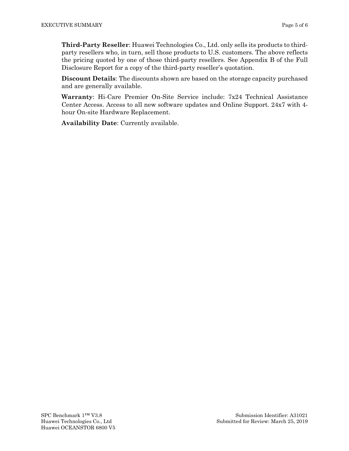**Third-Party Reseller**: Huawei Technologies Co., Ltd. only sells its products to thirdparty resellers who, in turn, sell those products to U.S. customers. The above reflects the pricing quoted by one of those third-party resellers. See Appendix B of the Full Disclosure Report for a copy of the third-party reseller's quotation.

**Discount Details**: The discounts shown are based on the storage capacity purchased and are generally available.

**Warranty**: Hi-Care Premier On-Site Service include: 7x24 Technical Assistance Center Access. Access to all new software updates and Online Support. 24x7 with 4 hour On-site Hardware Replacement.

**Availability Date**: Currently available.